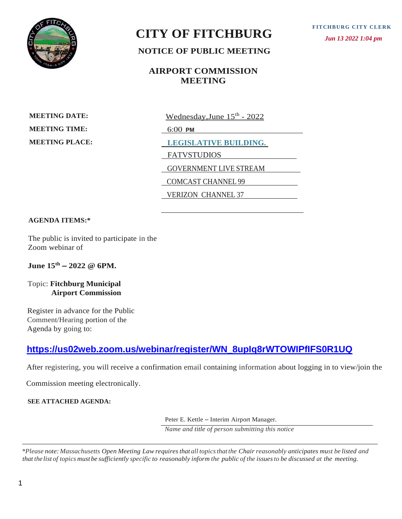

# **CITY OF FITCHBURG**

 *Jun 13 2022 1:04 pm*

# **NOTICE OF PUBLIC MEETING**

## **AIRPORT COMMISSION MEETING**

**MEETING DATE: MEETING TIME: MEETING PLACE:** <u>Wednesday,June 15<sup>th</sup> - 2022</u>

6:00 **PM**

**LEGISLATIVE BUILDING.** 

FATVSTUDIOS

GOVERNMENT LIVE STREAM

COMCAST CHANNEL 99

VERIZON CHANNEL 37

#### **AGENDA ITEMS:\***

The public is invited to participate in the Zoom webinar of

**June 15th – 2022 @ 6PM.**

Topic: **Fitchburg Municipal Airport Commission**

Register in advance for the Public Comment/Hearing portion of the Agenda by going to:

# **[https://us02web.zoom.us/webinar/register/WN\\_8upIq8rWTOWIPfIFS0R1UQ](https://us02web.zoom.us/webinar/register/WN_8upIq8rWTOWIPfIFS0R1UQ)**

After registering, you will receive a confirmation email containing information about logging in to view/join the

Commission meeting electronically.

**SEE ATTACHED AGENDA:**

Peter E. Kettle – Interim Airport Manager.

*Name and title of person submitting this notice*

\*Please note: Massachusetts Open Meeting Law requires that all topics that the Chair reasonably anticipates must be listed and CITY OF FITCHBURG<br>
NOTICE OF PUBLIC MEETING<br>
NOTICE OF PUBLIC MEETING<br>
NOTICE OF PUBLIC MEETING<br>
METRO DATE<br>
METRO DATE<br>
METRO DATE<br>
METRO DATE<br>
METRO TAXE<br>
METRO TAXE<br>
METRO TAXE<br>
METRO TAXE<br>
METRO TAXE<br>
METRO TAXE<br>
METR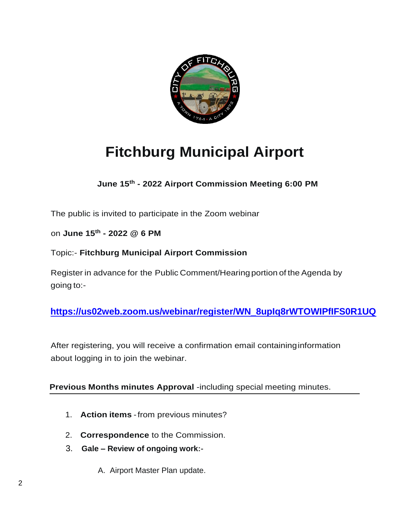

# **Fitchburg Municipal Airport**

**June 15th - 2022 Airport Commission Meeting 6:00 PM**

The public is invited to participate in the Zoom webinar

on **June 15th - 2022 @ 6 PM**

Topic:- **Fitchburg Municipal Airport Commission**

Register in advance for the Public Comment/Hearingportion of the Agenda by going to:-

 **[https://us02web.zoom.us/webinar/register/WN\\_8upIq8rWTOWIPfIFS0R1UQ](https://us02web.zoom.us/webinar/register/WN_8upIq8rWTOWIPfIFS0R1UQ)**

After registering, you will receive a confirmation email containinginformation about logging in to join the webinar.

 **Previous Months minutes Approval** -including special meeting minutes.

- 1. **Action items** -from previous minutes?
- 2. **Correspondence** to the Commission.
- 3. **Gale – Review of ongoing work:-**
	- A. Airport Master Plan update.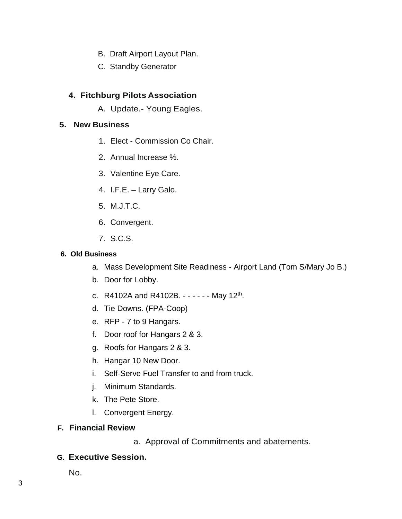- B. Draft Airport Layout Plan.
- C. Standby Generator

### **4. Fitchburg Pilots Association**

A. Update.- Young Eagles.

#### **5. New Business**

- 1. Elect Commission Co Chair.
- 2. Annual Increase %.
- 3. Valentine Eye Care.
- 4. I.F.E. Larry Galo.
- 5. M.J.T.C.
- 6. Convergent.
- 7. S.C.S.

#### **6. Old Business**

- a. Mass Development Site Readiness Airport Land (Tom S/Mary Jo B.)
- b. Door for Lobby.
- c. R4102A and R4102B. - - - May 12<sup>th</sup>.
- d. Tie Downs. (FPA-Coop)
- e. RFP 7 to 9 Hangars.
- f. Door roof for Hangars 2 & 3.
- g. Roofs for Hangars 2 & 3.
- h. Hangar 10 New Door.
- i. Self-Serve Fuel Transfer to and from truck.
- j. Minimum Standards.
- k. The Pete Store.
- l. Convergent Energy.

#### **F. Financial Review**

a. Approval of Commitments and abatements.

### **G. Executive Session.**

No.